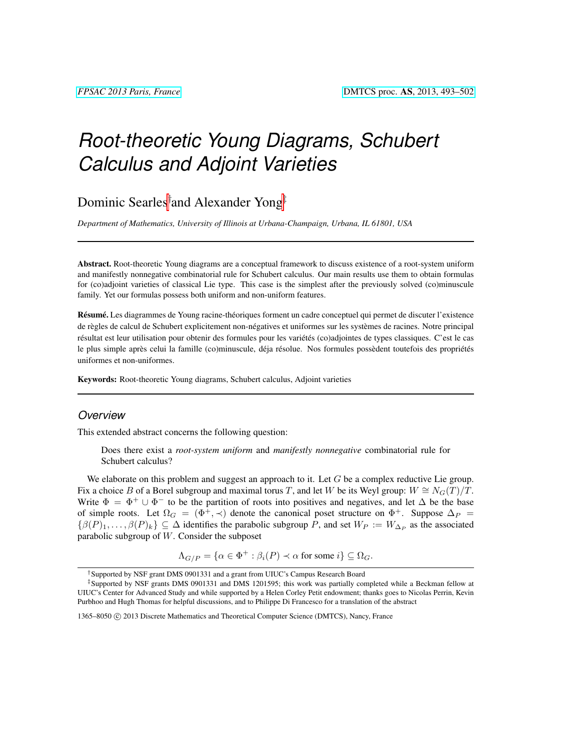# *Root-theoretic Young Diagrams, Schubert Calculus and Adjoint Varieties*

Dominic Searles† and Alexander Yong‡

*Department of Mathematics, University of Illinois at Urbana-Champaign, Urbana, IL 61801, USA*

Abstract. Root-theoretic Young diagrams are a conceptual framework to discuss existence of a root-system uniform and manifestly nonnegative combinatorial rule for Schubert calculus. Our main results use them to obtain formulas for (co)adjoint varieties of classical Lie type. This case is the simplest after the previously solved (co)minuscule family. Yet our formulas possess both uniform and non-uniform features.

Résumé. Les diagrammes de Young racine-théoriques forment un cadre conceptuel qui permet de discuter l'existence de règles de calcul de Schubert explicitement non-négatives et uniformes sur les systèmes de racines. Notre principal résultat est leur utilisation pour obtenir des formules pour les variétés (co)adjointes de types classiques. C'est le cas le plus simple après celui la famille (co)minuscule, déja résolue. Nos formules possèdent toutefois des propriétés uniformes et non-uniformes.

Keywords: Root-theoretic Young diagrams, Schubert calculus, Adjoint varieties

#### *Overview*

This extended abstract concerns the following question:

Does there exist a *root-system uniform* and *manifestly nonnegative* combinatorial rule for Schubert calculus?

We elaborate on this problem and suggest an approach to it. Let  $G$  be a complex reductive Lie group. Fix a choice B of a Borel subgroup and maximal torus T, and let W be its Weyl group:  $W \cong N_G(T)/T$ . Write  $\Phi = \Phi^+ \cup \Phi^-$  to be the partition of roots into positives and negatives, and let  $\Delta$  be the base of simple roots. Let  $\Omega_G = (\Phi^+, \prec)$  denote the canonical poset structure on  $\Phi^+$ . Suppose  $\Delta_P =$  $\{\beta(P)_1,\ldots,\beta(P)_k\}\subseteq \Delta$  identifies the parabolic subgroup P, and set  $W_P := W_{\Delta_P}$  as the associated parabolic subgroup of W. Consider the subposet

$$
\Lambda_{G/P} = \{ \alpha \in \Phi^+ : \beta_i(P) \prec \alpha \text{ for some } i \} \subseteq \Omega_G.
$$

<sup>†</sup>Supported by NSF grant DMS 0901331 and a grant from UIUC's Campus Research Board

<sup>‡</sup>Supported by NSF grants DMS 0901331 and DMS 1201595; this work was partially completed while a Beckman fellow at UIUC's Center for Advanced Study and while supported by a Helen Corley Petit endowment; thanks goes to Nicolas Perrin, Kevin Purbhoo and Hugh Thomas for helpful discussions, and to Philippe Di Francesco for a translation of the abstract

<sup>1365–8050 © 2013</sup> Discrete Mathematics and Theoretical Computer Science (DMTCS), Nancy, France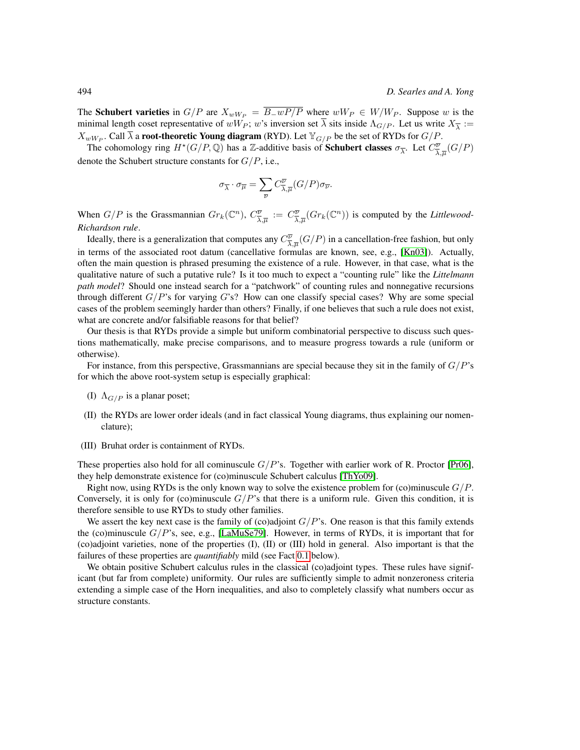The Schubert varieties in  $G/P$  are  $X_{wW_P} = \overline{B_{-}wP/P}$  where  $wW_P \in W/W_P$ . Suppose w is the minimal length coset representative of  $wW_P$ ; w's inversion set  $\lambda$  sits inside  $\Lambda_{G/P}$ . Let us write  $X_{\overline{\lambda}} :=$  $X_{wW_P}$ . Call  $\overline{\lambda}$  a **root-theoretic Young diagram** (RYD). Let  $\mathbb{Y}_{G/P}$  be the set of RYDs for  $G/P$ .

The cohomology ring  $H^*(G/P, \mathbb{Q})$  has a Z-additive basis of **Schubert classes**  $\sigma_{\overline{\lambda}}$ . Let  $C^{\overline{\nu}}_{\overline{\lambda}}$  $\frac{\overline{\nu}}{\overline{\lambda},\overline{\mu}}(G/P)$ denote the Schubert structure constants for  $G/P$ , i.e.,

$$
\sigma_{\overline{\lambda}} \cdot \sigma_{\overline{\mu}} = \sum_{\overline{\nu}} C_{\overline{\lambda},\overline{\mu}}^{\overline{\nu}}(G/P) \sigma_{\overline{\nu}}.
$$

When  $G/P$  is the Grassmannian  $Gr_k(\mathbb{C}^n)$ ,  $C^{\overline{\nu}}_{\overline{\lambda}}$  $\frac{\overline{\nu}}{\overline{\lambda},\overline{\mu}}\;:=\;C^{\overline{\nu}}_{\overline{\lambda}}$  $\frac{\overline{\psi}}{\lambda,\overline{\mu}}(Gr_k(\mathbb{C}^n))$  is computed by the *Littlewood*-*Richardson rule*.

Ideally, there is a generalization that computes any  $C^{\overline{\nu}}$  $\frac{\overline{\nu}}{\lambda,\overline{\mu}}(G/P)$  in a cancellation-free fashion, but only in terms of the associated root datum (cancellative formulas are known, see, e.g., [\[Kn03\]](#page-9-0)). Actually, often the main question is phrased presuming the existence of a rule. However, in that case, what is the qualitative nature of such a putative rule? Is it too much to expect a "counting rule" like the *Littelmann path model*? Should one instead search for a "patchwork" of counting rules and nonnegative recursions through different  $G/P$ 's for varying  $G$ 's? How can one classify special cases? Why are some special cases of the problem seemingly harder than others? Finally, if one believes that such a rule does not exist, what are concrete and/or falsifiable reasons for that belief?

Our thesis is that RYDs provide a simple but uniform combinatorial perspective to discuss such questions mathematically, make precise comparisons, and to measure progress towards a rule (uniform or otherwise).

For instance, from this perspective, Grassmannians are special because they sit in the family of  $G/P$ 's for which the above root-system setup is especially graphical:

- (I)  $\Lambda_{G/P}$  is a planar poset;
- (II) the RYDs are lower order ideals (and in fact classical Young diagrams, thus explaining our nomenclature);
- (III) Bruhat order is containment of RYDs.

These properties also hold for all cominuscule  $G/P$ 's. Together with earlier work of R. Proctor [\[Pr06\]](#page-9-1), they help demonstrate existence for (co)minuscule Schubert calculus [\[ThYo09\]](#page-9-2).

Right now, using RYDs is the only known way to solve the existence problem for (co)minuscule  $G/P$ . Conversely, it is only for (co)minuscule  $G/P$ 's that there is a uniform rule. Given this condition, it is therefore sensible to use RYDs to study other families.

We assert the key next case is the family of (co)adjoint  $G/P$ 's. One reason is that this family extends the (co)minuscule  $G/P$ 's, see, e.g., [\[LaMuSe79\]](#page-9-3). However, in terms of RYDs, it is important that for (co)adjoint varieties, none of the properties (I), (II) or (III) hold in general. Also important is that the failures of these properties are *quantifiably* mild (see Fact [0.1](#page-2-0) below).

We obtain positive Schubert calculus rules in the classical (co)adjoint types. These rules have significant (but far from complete) uniformity. Our rules are sufficiently simple to admit nonzeroness criteria extending a simple case of the Horn inequalities, and also to completely classify what numbers occur as structure constants.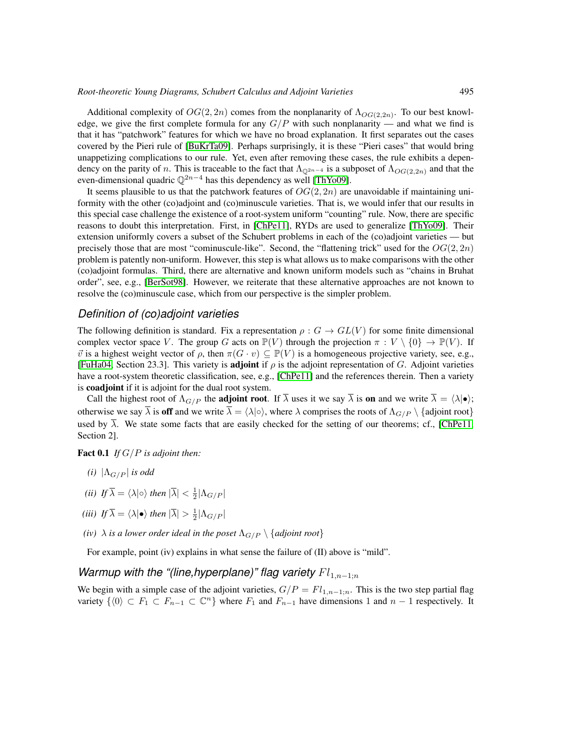Additional complexity of  $OG(2, 2n)$  comes from the nonplanarity of  $\Lambda_{OG(2,2n)}$ . To our best knowledge, we give the first complete formula for any  $G/P$  with such nonplanarity — and what we find is that it has "patchwork" features for which we have no broad explanation. It first separates out the cases covered by the Pieri rule of [\[BuKrTa09\]](#page-9-4). Perhaps surprisingly, it is these "Pieri cases" that would bring unappetizing complications to our rule. Yet, even after removing these cases, the rule exhibits a dependency on the parity of n. This is traceable to the fact that  $\Lambda_{Q^{2n-4}}$  is a subposet of  $\Lambda_{OG(2,2n)}$  and that the even-dimensional quadric  $\mathbb{Q}^{2n-4}$  has this dependency as well [\[ThYo09\]](#page-9-2).

It seems plausible to us that the patchwork features of  $OG(2, 2n)$  are unavoidable if maintaining uniformity with the other (co)adjoint and (co)minuscule varieties. That is, we would infer that our results in this special case challenge the existence of a root-system uniform "counting" rule. Now, there are specific reasons to doubt this interpretation. First, in [\[ChPe11\]](#page-9-5), RYDs are used to generalize [\[ThYo09\]](#page-9-2). Their extension uniformly covers a subset of the Schubert problems in each of the (co)adjoint varieties — but precisely those that are most "cominuscule-like". Second, the "flattening trick" used for the  $OG(2, 2n)$ problem is patently non-uniform. However, this step is what allows us to make comparisons with the other (co)adjoint formulas. Third, there are alternative and known uniform models such as "chains in Bruhat order", see, e.g., [\[BerSot98\]](#page-9-6). However, we reiterate that these alternative approaches are not known to resolve the (co)minuscule case, which from our perspective is the simpler problem.

#### *Definition of (co)adjoint varieties*

The following definition is standard. Fix a representation  $\rho: G \to GL(V)$  for some finite dimensional complex vector space V. The group G acts on  $\mathbb{P}(V)$  through the projection  $\pi : V \setminus \{0\} \to \mathbb{P}(V)$ . If  $\vec{v}$  is a highest weight vector of  $\rho$ , then  $\pi(G \cdot v) \subseteq \mathbb{P}(V)$  is a homogeneous projective variety, see, e.g., [\[FuHa04,](#page-9-7) Section 23.3]. This variety is **adjoint** if  $\rho$  is the adjoint representation of G. Adjoint varieties have a root-system theoretic classification, see, e.g., [\[ChPe11\]](#page-9-5) and the references therein. Then a variety is coadjoint if it is adjoint for the dual root system.

Call the highest root of  $\Lambda_{G/P}$  the **adjoint root**. If  $\overline{\lambda}$  uses it we say  $\overline{\lambda}$  is **on** and we write  $\overline{\lambda} = \langle \lambda | \bullet \rangle$ ; otherwise we say  $\overline{\lambda}$  is off and we write  $\overline{\lambda} = \langle \lambda | \circ \rangle$ , where  $\lambda$  comprises the roots of  $\Lambda_{G/P} \setminus \{ \text{adjoint root} \}$ used by  $\overline{\lambda}$ . We state some facts that are easily checked for the setting of our theorems; cf., [\[ChPe11,](#page-9-5) Section 2].

### <span id="page-2-0"></span>Fact 0.1 *If* G/P *is adjoint then:*

- *(i)*  $|\Lambda_{G/P}|$  *is odd*
- *(ii)*  $If \bar{\lambda} = \langle \lambda | \circ \rangle$  *then*  $|\bar{\lambda}| < \frac{1}{2} |\Lambda_{G/P}|$
- (*iii*) If  $\overline{\lambda} = \langle \lambda | \bullet \rangle$  then  $|\overline{\lambda}| > \frac{1}{2} |\Lambda_{G/P}|$
- *(iv)*  $\lambda$  *is a lower order ideal in the poset*  $\Lambda_{G/P} \setminus \{adjoint root\}$

For example, point (iv) explains in what sense the failure of (II) above is "mild".

## *Warmup with the "(line,hyperplane)" flag variety*  $Fl<sub>1,n−1;n</sub>$

We begin with a simple case of the adjoint varieties,  $G/P = Fl_{1,n-1;n}$ . This is the two step partial flag variety  $\{0\} \subset F_1 \subset F_{n-1} \subset \mathbb{C}^n\}$  where  $F_1$  and  $F_{n-1}$  have dimensions 1 and  $n-1$  respectively. It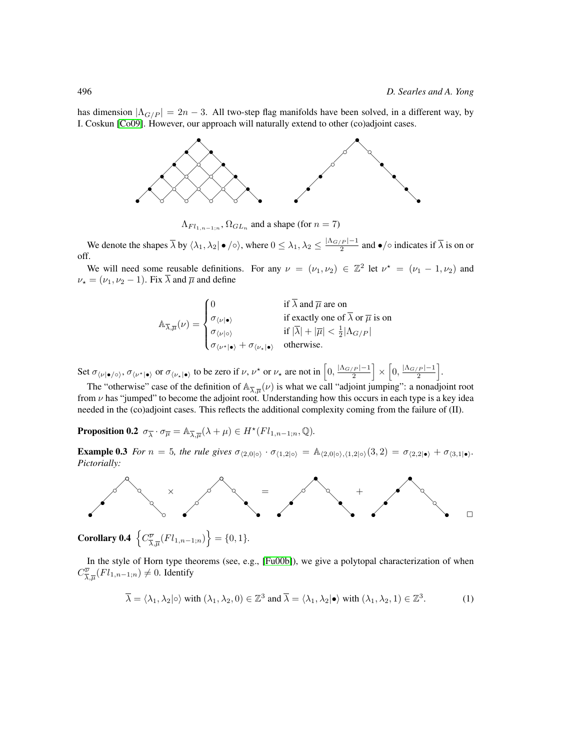has dimension  $|\Lambda_{G/P}| = 2n - 3$ . All two-step flag manifolds have been solved, in a different way, by I. Coskun [\[Co09\]](#page-9-8). However, our approach will naturally extend to other (co)adjoint cases.



 $\Lambda_{Fl_{1,n-1;n}}, \Omega_{GL_n}$  and a shape (for  $n = 7$ )

We denote the shapes  $\overline{\lambda}$  by  $\langle \lambda_1, \lambda_2 | \bullet / \circ \rangle$ , where  $0 \leq \lambda_1, \lambda_2 \leq \frac{|\Lambda_{G/P}| - 1}{2}$  $\frac{2^{p}}{2}$  and  $\bullet$ / $\circ$  indicates if  $\lambda$  is on or off.

We will need some reusable definitions. For any  $\nu = (\nu_1, \nu_2) \in \mathbb{Z}^2$  let  $\nu^* = (\nu_1 - 1, \nu_2)$  and  $\nu_{\star} = (\nu_1, \nu_2 - 1)$ . Fix  $\overline{\lambda}$  and  $\overline{\mu}$  and define

$$
\mathbb{A}_{\overline{\lambda},\overline{\mu}}(\nu) = \begin{cases}\n0 & \text{if } \overline{\lambda} \text{ and } \overline{\mu} \text{ are on} \\
\sigma_{\langle \nu | \bullet \rangle} & \text{if } \text{exactly one of } \overline{\lambda} \text{ or } \overline{\mu} \text{ is on} \\
\sigma_{\langle \nu | \bullet \rangle} & \text{if } |\overline{\lambda}| + |\overline{\mu}| < \frac{1}{2} |\Lambda_{G/P}| \\
\sigma_{\langle \nu^* | \bullet \rangle} + \sigma_{\langle \nu_* | \bullet \rangle} & \text{otherwise.} \n\end{cases}
$$

Set  $\sigma_{\langle \nu | \bullet / \circ \rangle}$ ,  $\sigma_{\langle \nu^* | \bullet \rangle}$  or  $\sigma_{\langle \nu_* | \bullet \rangle}$  to be zero if  $\nu, \nu^*$  or  $\nu_*$  are not in  $\left[0, \frac{|\Lambda_{G/P}|-1}{2}\right]$  $\left\lfloor\frac{p|-1}{2}\right\rfloor \times \left[0, \frac{|\Lambda_{G/P}|-1}{2}\right]$  $\frac{1}{2}$ .

The "otherwise" case of the definition of  $\mathbb{A}_{\overline{\lambda},\overline{\mu}}(\nu)$  is what we call "adjoint jumping": a nonadjoint root from  $\nu$  has "jumped" to become the adjoint root. Understanding how this occurs in each type is a key idea needed in the (co)adjoint cases. This reflects the additional complexity coming from the failure of (II).

**Proposition 0.2**  $\sigma_{\overline{\lambda}} \cdot \sigma_{\overline{\mu}} = \mathbb{A}_{\overline{\lambda},\overline{\mu}}(\lambda + \mu) \in H^{\star}(Fl_{1,n-1;n},\mathbb{Q})$ .

**Example 0.3** *For*  $n = 5$ *, the rule gives*  $\sigma_{\langle 2,0|\circ\rangle} \cdot \sigma_{\langle 1,2|\circ\rangle} = \mathbb{A}_{\langle 2,0|\circ\rangle,\langle 1,2|\circ\rangle} (3,2) = \sigma_{\langle 2,2|\bullet\rangle} + \sigma_{\langle 3,1|\bullet\rangle}$ *. Pictorially:*



Corollary 0.4  $\left\{C^{\overline{\nu}}_{\overline{\lambda}}\right\}$  $\left\{\frac{\overline{\nu}}{\overline{\lambda}, \overline{\mu}}(Fl_{1,n-1;n})\right\} = \{0,1\}.$ 

In the style of Horn type theorems (see, e.g., [\[Fu00b\]](#page-9-9)), we give a polytopal characterization of when  $C^{\overline{\nu}}_{\overline{\lambda}}$  $\frac{\overline{\nu}}{\overline{\lambda},\overline{\mu}}(Fl_{1,n-1;n}) \neq 0$ . Identify

<span id="page-3-0"></span>
$$
\overline{\lambda} = \langle \lambda_1, \lambda_2 | \circ \rangle \text{ with } (\lambda_1, \lambda_2, 0) \in \mathbb{Z}^3 \text{ and } \overline{\lambda} = \langle \lambda_1, \lambda_2 | \bullet \rangle \text{ with } (\lambda_1, \lambda_2, 1) \in \mathbb{Z}^3. \tag{1}
$$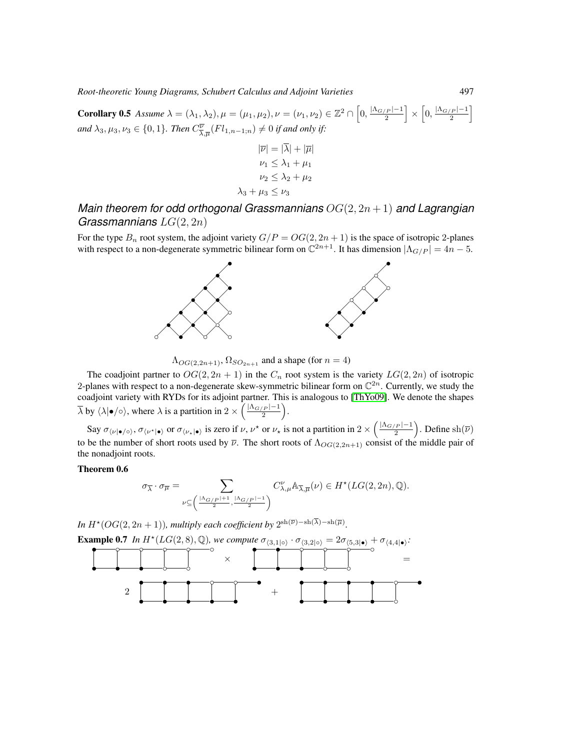**Corollary 0.5** *Assume*  $\lambda = (\lambda_1, \lambda_2), \mu = (\mu_1, \mu_2), \nu = (\nu_1, \nu_2) \in \mathbb{Z}^2 \cap \left[0, \frac{|\Lambda_{G/P}|-1}{2}\right]$  $\left\lfloor\frac{p|-1}{2}\right\rfloor \times \left[0,\frac{|\Lambda_{G/P}|-1}{2}\right]$  $\frac{1}{2}$ and  $\lambda_3, \mu_3, \nu_3 \in \{0, 1\}$ *. Then*  $C^{\overline{\nu}}_{\overline{\lambda}}$  $\frac{\overline{\nu}}{\overline{\lambda},\overline{\mu}}(Fl_{1,n-1;n})\neq 0$  if and only if:

$$
|\overline{\nu}| = |\overline{\lambda}| + |\overline{\mu}|
$$
  

$$
\nu_1 \le \lambda_1 + \mu_1
$$
  

$$
\nu_2 \le \lambda_2 + \mu_2
$$
  

$$
\lambda_3 + \mu_3 \le \nu_3
$$

# *Main theorem for odd orthogonal Grassmannians* OG(2, 2n + 1) *and Lagrangian Grassmannians* LG(2, 2n)

For the type  $B_n$  root system, the adjoint variety  $G/P = OG(2, 2n + 1)$  is the space of isotropic 2-planes with respect to a non-degenerate symmetric bilinear form on  $\mathbb{C}^{2n+1}$ . It has dimension  $|\Lambda_{G/P}| = 4n - 5$ .



 $\Lambda_{OG(2,2n+1)}, \Omega_{SO_{2n+1}}$  and a shape (for  $n = 4$ )

The coadjoint partner to  $OG(2, 2n + 1)$  in the  $C_n$  root system is the variety  $LG(2, 2n)$  of isotropic 2-planes with respect to a non-degenerate skew-symmetric bilinear form on  $\mathbb{C}^{2n}$ . Currently, we study the coadjoint variety with RYDs for its adjoint partner. This is analogous to [\[ThYo09\]](#page-9-2). We denote the shapes  $\overline{\lambda}$  by  $\langle \lambda | \bullet / \circ \rangle$ , where  $\lambda$  is a partition in  $2 \times \left( \frac{|\Lambda_{G/P}| - 1}{2} \right)$  $\frac{1}{2}$ .

Say  $\sigma_{\langle \nu | \bullet / \circ \rangle}$ ,  $\sigma_{\langle \nu^* | \bullet \rangle}$  or  $\sigma_{\langle \nu_* | \bullet \rangle}$  is zero if  $\nu, \nu^*$  or  $\nu_*$  is not a partition in  $2 \times \left( \frac{|\Lambda_{G/P}| - 1}{2} \right)$  $\left(\frac{p}{2}\right)$ . Define sh $(\overline{\nu})$ to be the number of short roots used by  $\overline{\nu}$ . The short roots of  $\Lambda_{OG(2,2n+1)}$  consist of the middle pair of the nonadjoint roots.

#### Theorem 0.6

$$
\sigma_{\overline{\lambda}} \cdot \sigma_{\overline{\mu}} = \sum_{\nu \subseteq \left( \frac{|\Lambda_{G/P}| + 1}{2}, \frac{|\Lambda_{G/P}| - 1}{2} \right)} C_{\lambda, \mu}^{\nu} \mathbb{A}_{\overline{\lambda}, \overline{\mu}}(\nu) \in H^{\star}(LG(2, 2n), \mathbb{Q}).
$$

*In*  $H^{\star}(OG(2,2n+1))$ *, multiply each coefficient by*  $2^{\text{sh}(\overline{\nu})-\text{sh}(\lambda)-\text{sh}(\overline{\mu})}$ *.* 

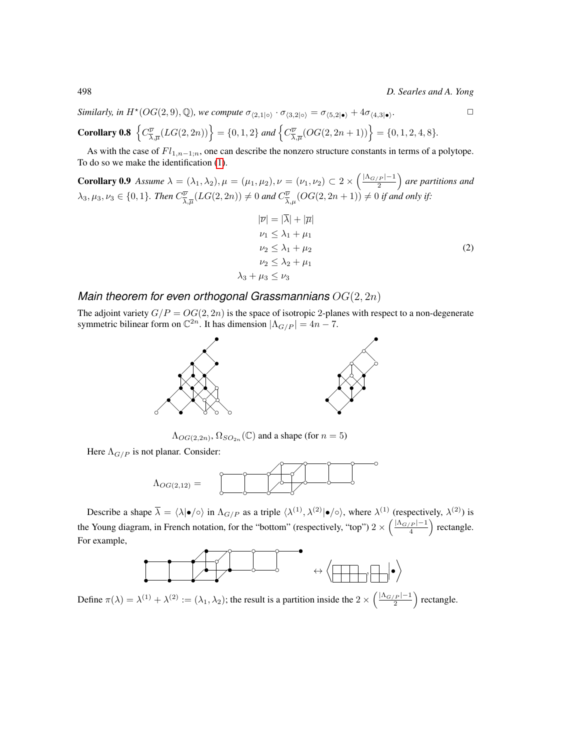498 *D. Searles and A. Yong*

*Similarly, in*  $H^*(OG(2,9), \mathbb{Q})$ *, we compute*  $\sigma_{\langle 2,1|\circ\rangle} \cdot \sigma_{\langle 3,2|\circ\rangle} = \sigma_{\langle 5,2|\bullet\rangle} + 4\sigma_{\langle 4,3|\bullet\rangle}$ *.*  $\Box$ 

Corollary 0.8 
$$
\left\{ C^{\overline{\nu}}_{\overline{\lambda},\overline{\mu}}(LG(2,2n)) \right\} = \{0,1,2\}
$$
 and  $\left\{ C^{\overline{\nu}}_{\overline{\lambda},\overline{\mu}}(OG(2,2n+1)) \right\} = \{0,1,2,4,8\}.$ 

As with the case of  $Fl_{1,n-1;n}$ , one can describe the nonzero structure constants in terms of a polytope. To do so we make the identification [\(1\)](#page-3-0).

**Corollary 0.9** *Assume*  $\lambda = (\lambda_1, \lambda_2), \mu = (\mu_1, \mu_2), \nu = (\nu_1, \nu_2) \subset 2 \times \left(\frac{|\Lambda_{G/P}| - 1}{2}\right)$  $\frac{2(p-1)}{2}$  are partitions and  $\lambda_3, \mu_3, \nu_3 \in \{0,1\}$ . Then  $C^{\overline{\nu}}_{\overline{\lambda}}$  $(\frac{\overline{\psi}}{\overline{\lambda},\overline{\mu}}(LG(2,2n))\neq 0$  and  $C^{\overline{\psi}}_{\overline{\lambda},\mu}(OG(2,2n+1))\neq 0$  if and only if:

<span id="page-5-0"></span>
$$
|\overline{\nu}| = |\overline{\lambda}| + |\overline{\mu}|
$$
  
\n
$$
\nu_1 \le \lambda_1 + \mu_1
$$
  
\n
$$
\nu_2 \le \lambda_1 + \mu_2
$$
  
\n
$$
\nu_2 \le \lambda_2 + \mu_1
$$
  
\n
$$
\lambda_3 + \mu_3 \le \nu_3
$$
\n(2)

# *Main theorem for even orthogonal Grassmannians* OG(2, 2n)

The adjoint variety  $G/P = OG(2, 2n)$  is the space of isotropic 2-planes with respect to a non-degenerate symmetric bilinear form on  $\mathbb{C}^{2n}$ . It has dimension  $|\Lambda_{G/P}| = 4n - 7$ .



 $\Lambda_{OG(2,2n)}$ ,  $\Omega_{SO_{2n}}(\mathbb{C})$  and a shape (for  $n=5$ )

Here  $\Lambda_{G/P}$  is not planar. Consider:



Describe a shape  $\overline{\lambda} = \langle \lambda | \bullet / \circ \rangle$  in  $\Lambda_{G/P}$  as a triple  $\langle \lambda^{(1)}, \lambda^{(2)} | \bullet / \circ \rangle$ , where  $\lambda^{(1)}$  (respectively,  $\lambda^{(2)}$ ) is the Young diagram, in French notation, for the "bottom" (respectively, "top")  $2 \times \left( \frac{|\Lambda_{G/P}| - 1}{4} \right)$  $\frac{p-1}{4}$  rectangle. For example,



Define  $\pi(\lambda) = \lambda^{(1)} + \lambda^{(2)} := (\lambda_1, \lambda_2)$ ; the result is a partition inside the  $2 \times \left(\frac{|\Lambda_{G/P}| - 1}{2}\right)$  $\frac{p-1}{2}$  rectangle.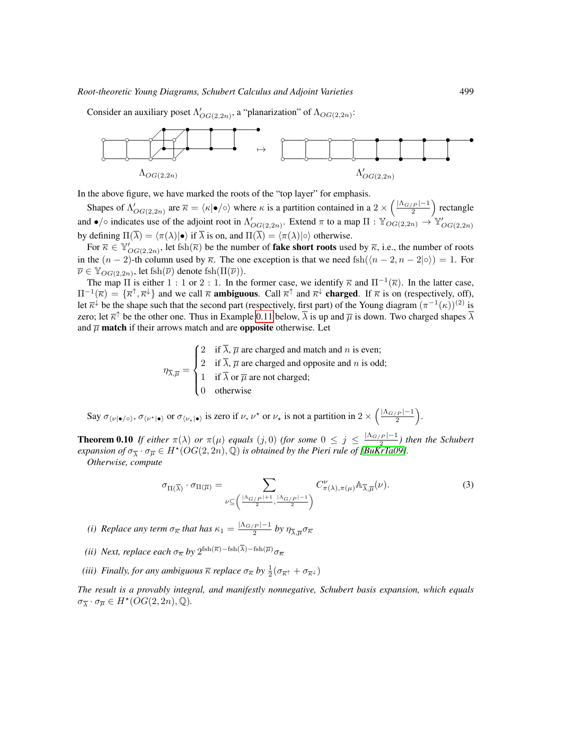Consider an auxiliary poset  $\Lambda'_{OG(2,2n)}$ , a "planarization" of  $\Lambda_{OG(2,2n)}$ :



In the above figure, we have marked the roots of the "top layer" for emphasis.

Shapes of  $\Lambda'_{OG(2,2n)}$  are  $\overline{\kappa} = \langle \kappa | \bullet / \circ \rangle$  where  $\kappa$  is a partition contained in a  $2 \times \left( \frac{|\Lambda_{G/P}| - 1}{2} \right)$  $\frac{p-1}{2}$  rectangle and  $\bullet/\circ$  indicates use of the adjoint root in  $\Lambda'_{OG(2,2n)}$ . Extend  $\pi$  to a map  $\Pi : \mathbb{Y}_{OG(2,2n)} \to \mathbb{Y}'_{OG(2,2n)}$ by defining  $\Pi(\overline{\lambda}) = \langle \pi(\lambda)| \bullet \rangle$  if  $\overline{\lambda}$  is on, and  $\Pi(\overline{\lambda}) = \langle \pi(\lambda)| \circ \rangle$  otherwise.

For  $\overline{\kappa} \in \mathbb{Y}_{OG(2,2n)}'$ , let fsh $(\overline{\kappa})$  be the number of **fake short roots** used by  $\overline{\kappa}$ , i.e., the number of roots in the  $(n-2)$ -th column used by  $\overline{\kappa}$ . The one exception is that we need fsh $(\langle n-2, n-2|\circ \rangle) = 1$ . For  $\overline{\nu} \in \mathbb{Y}_{OG(2,2n)}$ , let fsh $(\overline{\nu})$  denote fsh $(\Pi(\overline{\nu}))$ .

The map  $\Pi$  is either 1 : 1 or 2 : 1. In the former case, we identify  $\overline{\kappa}$  and  $\Pi^{-1}(\overline{\kappa})$ . In the latter case,  $\Pi^{-1}(\overline{\kappa}) = {\overline{\kappa}}^{\uparrow}, \overline{\kappa}^{\downarrow}$  and we call  $\overline{\kappa}$  and  $\overline{\kappa}^{\uparrow}$  and  $\overline{\kappa}^{\downarrow}$  charged. If  $\overline{\kappa}$  is on (respectively, off), let  $\overline{\kappa}^{\downarrow}$  be the shape such that the second part (respectively, first part) of the Young diagram  $(\pi^{-1}(\kappa))^{(2)}$  is zero; let  $\overline{\kappa}$ <sup> $\uparrow$ </sup> be the other one. Thus in Example [0.11](#page-7-0) below,  $\overline{\lambda}$  is up and  $\overline{\mu}$  is down. Two charged shapes  $\overline{\lambda}$ and  $\overline{\mu}$  match if their arrows match and are opposite otherwise. Let

$$
\eta_{\overline{\lambda},\overline{\mu}} = \begin{cases}\n2 & \text{if } \overline{\lambda}, \overline{\mu} \text{ are charged and match and } n \text{ is even;} \\
2 & \text{if } \overline{\lambda}, \overline{\mu} \text{ are charged and opposite and } n \text{ is odd;} \\
1 & \text{if } \overline{\lambda} \text{ or } \overline{\mu} \text{ are not charged;} \\
0 & \text{otherwise}\n\end{cases}
$$

Say  $\sigma_{\langle \nu | \bullet / \circ \rangle}$ ,  $\sigma_{\langle \nu^* | \bullet \rangle}$  or  $\sigma_{\langle \nu_* | \bullet \rangle}$  is zero if  $\nu, \nu^*$  or  $\nu_*$  is not a partition in  $2 \times \left( \frac{|\Lambda_{G/P}| - 1}{2} \right)$  $\frac{1}{2}$ .

**Theorem 0.10** If either  $\pi(\lambda)$  or  $\pi(\mu)$  equals  $(j, 0)$  (for some  $0 \leq j \leq \frac{|\Lambda_{G/P}| - 1}{2}$  $\frac{2^{(p)}-1}{2}$ ) then the Schubert  $e$ xpansion of  $\sigma_{\overline{\lambda}} \cdot \sigma_{\overline{\mu}} \in H^{\star}(OG(2,2n),\mathbb{Q})$  is obtained by the Pieri rule of [\[BuKrTa09\]](#page-9-4).

*Otherwise, compute*

$$
\sigma_{\Pi(\overline{\lambda})} \cdot \sigma_{\Pi(\overline{\mu})} = \sum_{\nu \subseteq \left( \frac{|\Lambda_{G/P}| + 1}{2}, \frac{|\Lambda_{G/P}| - 1}{2} \right)} C^{\nu}_{\pi(\lambda), \pi(\mu)} \mathbb{A}_{\overline{\lambda}, \overline{\mu}}(\nu). \tag{3}
$$

*(i)* Replace any term  $\sigma_{\overline{\kappa}}$  that has  $\kappa_1 = \frac{|\Lambda_{G/P}| - 1}{2}$  $\frac{\gamma_{P} - 1}{2}$  by  $\eta_{\overline{\lambda}, \overline{\mu}} \sigma_{\overline{\kappa}}$ 

- *(ii) Next, replace each*  $\sigma_{\overline{\kappa}}$  *by*  $2^{\operatorname{fsh}(\overline{\kappa})-\operatorname{fsh}(\lambda)-\operatorname{fsh}(\overline{\mu})}\sigma_{\overline{\kappa}}$
- (*iii*) Finally, for any ambiguous  $\overline{\kappa}$  replace  $\sigma_{\overline{\kappa}}$  by  $\frac{1}{2}(\sigma_{\overline{\kappa}} + \sigma_{\overline{\kappa}})$

*The result is a provably integral, and manifestly nonnegative, Schubert basis expansion, which equals*  $\sigma_{\overline{\lambda}} \cdot \sigma_{\overline{\mu}} \in H^{\star}(OG(2,2n),\mathbb{Q}).$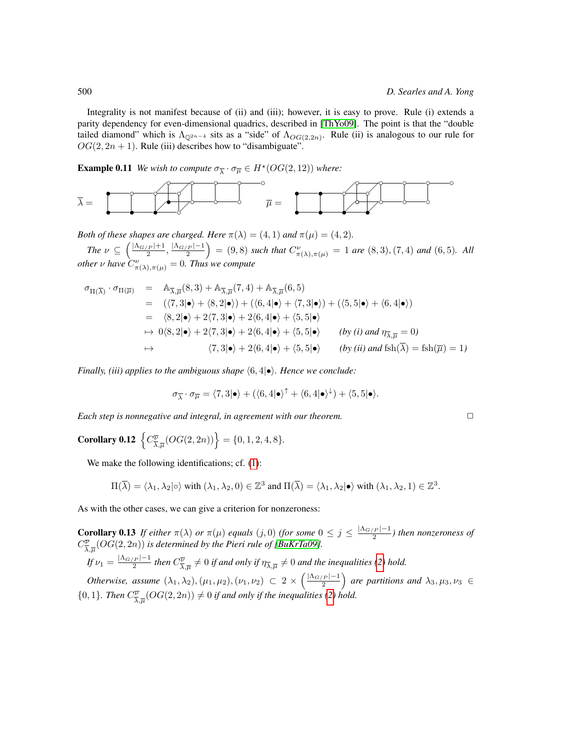Integrality is not manifest because of (ii) and (iii); however, it is easy to prove. Rule (i) extends a parity dependency for even-dimensional quadrics, described in [\[ThYo09\]](#page-9-2). The point is that the "double tailed diamond" which is  $\Lambda_{\mathbb{Q}^{2n-4}}$  sits as a "side" of  $\Lambda_{OG(2,2n)}$ . Rule (ii) is analogous to our rule for  $OG(2, 2n + 1)$ . Rule (iii) describes how to "disambiguate".

<span id="page-7-0"></span>**Example 0.11** *We wish to compute*  $\sigma_{\overline{\lambda}} \cdot \sigma_{\overline{\mu}} \in H^*(OG(2, 12))$  *where:* 



*Both of these shapes are charged. Here*  $\pi(\lambda) = (4, 1)$  *and*  $\pi(\mu) = (4, 2)$ *.* 

*The*  $\nu \subseteq \left(\frac{|\Lambda_{G/P}|+1}{2}\right)$  $\frac{|N_{G/P}|-1}{2}$ ,  $\frac{|N_{G/P}|-1}{2}$  $\left(\frac{2^{n-1}}{2}\right)$  = (9,8) such that  $C^{\nu}_{\pi(\lambda),\pi(\mu)} = 1$  are  $(8,3), (7,4)$  and  $(6,5)$ *. All other*  $\nu$  *have*  $\widetilde{C}_{\pi(\lambda),\pi(\mu)}^{\nu} = 0$ *. Thus we compute* 

$$
\sigma_{\Pi(\overline{\lambda})} \cdot \sigma_{\Pi(\overline{\mu})} = \mathbb{A}_{\overline{\lambda},\overline{\mu}}(8,3) + \mathbb{A}_{\overline{\lambda},\overline{\mu}}(7,4) + \mathbb{A}_{\overline{\lambda},\overline{\mu}}(6,5)
$$
\n
$$
= (\langle 7,3 | \bullet \rangle + \langle 8,2 | \bullet \rangle) + (\langle 6,4 | \bullet \rangle + \langle 7,3 | \bullet \rangle) + (\langle 5,5 | \bullet \rangle + \langle 6,4 | \bullet \rangle)
$$
\n
$$
= \langle 8,2 | \bullet \rangle + 2\langle 7,3 | \bullet \rangle + 2\langle 6,4 | \bullet \rangle + \langle 5,5 | \bullet \rangle
$$
\n
$$
\mapsto 0\langle 8,2 | \bullet \rangle + 2\langle 7,3 | \bullet \rangle + 2\langle 6,4 | \bullet \rangle + \langle 5,5 | \bullet \rangle \qquad (by (i) \text{ and } \eta_{\overline{\lambda},\overline{\mu}} = 0)
$$
\n
$$
\mapsto \langle 7,3 | \bullet \rangle + 2\langle 6,4 | \bullet \rangle + \langle 5,5 | \bullet \rangle \qquad (by (ii) \text{ and } \text{fsh}(\overline{\lambda}) = \text{fsh}(\overline{\mu}) = 1)
$$

*Finally, (iii) applies to the ambiguous shape*  $(6, 4) \bullet$ *). Hence we conclude:* 

$$
\sigma_{\overline{\lambda}} \cdot \sigma_{\overline{\mu}} = \langle 7, 3 | \bullet \rangle + (\langle 6, 4 | \bullet \rangle^{\uparrow} + \langle 6, 4 | \bullet \rangle^{\downarrow}) + \langle 5, 5 | \bullet \rangle.
$$

*Each step is nonnegative and integral, in agreement with our theorem.* ✷

Corollary 0.12  $\left\{C^{\overline{\nu}}_{\overline{\lambda}}\right\}$  $\left\{\frac{\overline{\nu}}{\overline{\lambda},\overline{\mu}}(OG(2,2n))\right\} = \{0,1,2,4,8\}.$ 

We make the following identifications; cf.  $(1)$ :

$$
\Pi(\overline{\lambda}) = \langle \lambda_1, \lambda_2 | \circ \rangle \text{ with } (\lambda_1, \lambda_2, 0) \in \mathbb{Z}^3 \text{ and } \Pi(\overline{\lambda}) = \langle \lambda_1, \lambda_2 | \bullet \rangle \text{ with } (\lambda_1, \lambda_2, 1) \in \mathbb{Z}^3.
$$

As with the other cases, we can give a criterion for nonzeroness:

**Corollary 0.13** If either  $\pi(\lambda)$  or  $\pi(\mu)$  equals  $(j, 0)$  (for some  $0 \leq j \leq \frac{|\Lambda_{G/P}| - 1}{2}$  $\frac{p_1-p_1}{2}$ ) then nonzeroness of  $C^{\overline{\nu}}_{\overline{\lambda}}$  $\frac{\overline{\psi}}{\lambda,\overline{\mu}}(OG(2,2n))$  is determined by the Pieri rule of [\[BuKrTa09\]](#page-9-4). *If*  $\nu_1 = \frac{|\Lambda_{G/P}| - 1}{2}$  $\frac{d^2 P}{d^2}$  then  $C^{\overline{\nu}}_{\overline{\lambda}}$  $\frac{\overline{\psi}}{\overline{\lambda},\overline{\mu}}\neq 0$  if and only if  $\eta_{\overline{\lambda},\overline{\mu}}\neq 0$  and the inequalities [\(2\)](#page-5-0) hold. *Otherwise, assume*  $(\lambda_1, \lambda_2), (\mu_1, \mu_2), (\nu_1, \nu_2) \subset 2 \times \left(\frac{|\Lambda_{G/P}| - 1}{2}\right)$  $\left(\frac{2(p-1)}{2}\right)$  are partitions and  $\lambda_3, \mu_3, \nu_3 \in$  $\{0,1\}$ *. Then*  $C^{\overline{\nu}}_{\overline{\lambda}}$  $\frac{\overline{\psi}}{\lambda,\overline{\mu}}(OG(2,2n)) \neq 0$  if and only if the inequalities [\(2\)](#page-5-0) hold.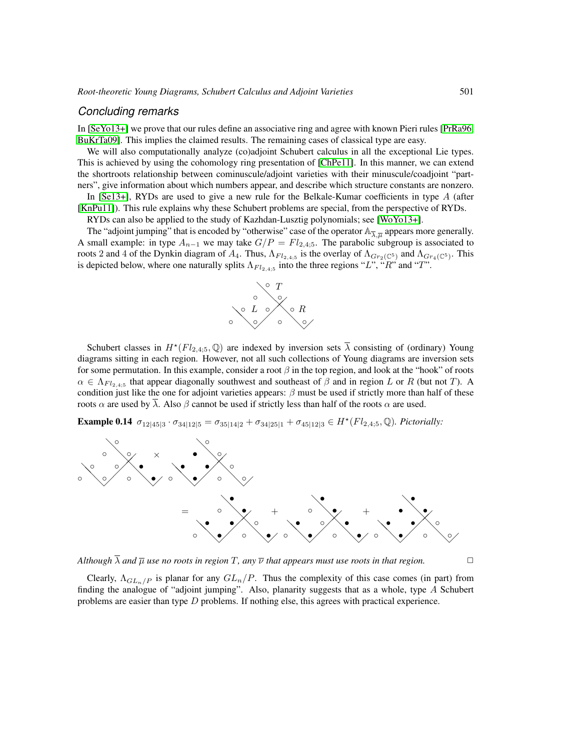# *Concluding remarks*

In [\[SeYo13+\]](#page-9-10) we prove that our rules define an associative ring and agree with known Pieri rules [\[PrRa96,](#page-9-11) [BuKrTa09\]](#page-9-4). This implies the claimed results. The remaining cases of classical type are easy.

We will also computationally analyze (co)adjoint Schubert calculus in all the exceptional Lie types. This is achieved by using the cohomology ring presentation of [\[ChPe11\]](#page-9-5). In this manner, we can extend the shortroots relationship between cominuscule/adjoint varieties with their minuscule/coadjoint "partners", give information about which numbers appear, and describe which structure constants are nonzero.

In [\[Se13+\]](#page-9-12), RYDs are used to give a new rule for the Belkale-Kumar coefficients in type A (after [\[KnPu11\]](#page-9-13)). This rule explains why these Schubert problems are special, from the perspective of RYDs.

RYDs can also be applied to the study of Kazhdan-Lusztig polynomials; see [\[WoYo13+\]](#page-9-14).

The "adjoint jumping" that is encoded by "otherwise" case of the operator  $\mathbb{A}_{\overline{\lambda},\overline{\mu}}$  appears more generally. A small example: in type  $A_{n-1}$  we may take  $G/P = Fl_{2,4,5}$ . The parabolic subgroup is associated to roots 2 and 4 of the Dynkin diagram of  $A_4$ . Thus,  $\Lambda_{Fl_{2,4,5}}$  is the overlay of  $\Lambda_{Gr_2(\mathbb{C}^5)}$  and  $\Lambda_{Gr_4(\mathbb{C}^5)}$ . This is depicted below, where one naturally splits  $\Lambda_{Fl_{2,4,5}}$  into the three regions "L", "R" and "T".



Schubert classes in  $H^*(Fl_{2,4,5}, \mathbb{Q})$  are indexed by inversion sets  $\overline{\lambda}$  consisting of (ordinary) Young diagrams sitting in each region. However, not all such collections of Young diagrams are inversion sets for some permutation. In this example, consider a root  $\beta$  in the top region, and look at the "hook" of roots  $\alpha \in \Lambda_{Fl_2,4.5}$  that appear diagonally southwest and southeast of  $\beta$  and in region L or R (but not T). A condition just like the one for adjoint varieties appears:  $\beta$  must be used if strictly more than half of these roots  $\alpha$  are used by  $\overline{\lambda}$ . Also  $\beta$  cannot be used if strictly less than half of the roots  $\alpha$  are used.

**Example 0.14**  $\sigma_{12|45|3} \cdot \sigma_{34|12|5} = \sigma_{35|14|2} + \sigma_{34|25|1} + \sigma_{45|12|3} \in H^{\star}(Fl_{2,4;5}, \mathbb{Q})$ *. Pictorially:* 



*Although*  $\overline{\lambda}$  *and*  $\overline{\mu}$  *use no roots in region*  $T$ *, any*  $\overline{\nu}$  *that appears must use roots in that region.* 

Clearly,  $\Lambda_{GL_n/P}$  is planar for any  $GL_n/P$ . Thus the complexity of this case comes (in part) from finding the analogue of "adjoint jumping". Also, planarity suggests that as a whole, type A Schubert problems are easier than type D problems. If nothing else, this agrees with practical experience.